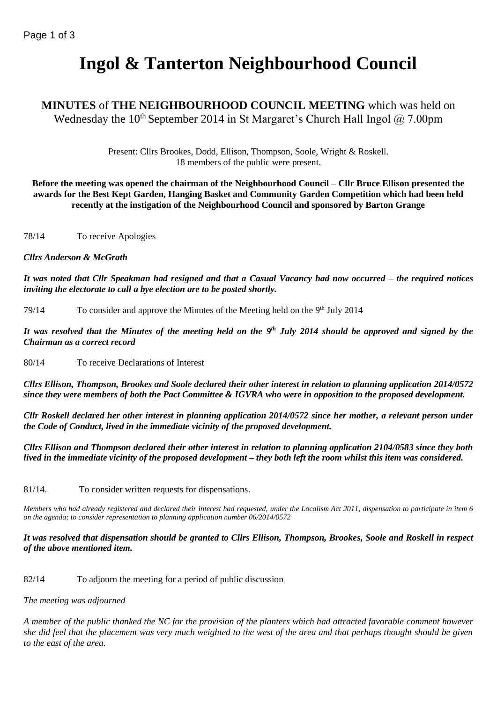# **Ingol & Tanterton Neighbourhood Council**

# **MINUTES** of **THE NEIGHBOURHOOD COUNCIL MEETING** which was held on Wednesday the 10<sup>th</sup> September 2014 in St Margaret's Church Hall Ingol  $\omega$  7.00pm

Present: Cllrs Brookes, Dodd, Ellison, Thompson, Soole, Wright & Roskell. 18 members of the public were present.

**Before the meeting was opened the chairman of the Neighbourhood Council – Cllr Bruce Ellison presented the awards for the Best Kept Garden, Hanging Basket and Community Garden Competition which had been held recently at the instigation of the Neighbourhood Council and sponsored by Barton Grange**

78/14 To receive Apologies

## *Cllrs Anderson & McGrath*

*It was noted that Cllr Speakman had resigned and that a Casual Vacancy had now occurred – the required notices inviting the electorate to call a bye election are to be posted shortly.*

79/14 To consider and approve the Minutes of the Meeting held on the 9<sup>th</sup> July 2014

*It was resolved that the Minutes of the meeting held on the 9 th July 2014 should be approved and signed by the Chairman as a correct record*

80/14 To receive Declarations of Interest

*Cllrs Ellison, Thompson, Brookes and Soole declared their other interest in relation to planning application 2014/0572 since they were members of both the Pact Committee & IGVRA who were in opposition to the proposed development.*

*Cllr Roskell declared her other interest in planning application 2014/0572 since her mother, a relevant person under the Code of Conduct, lived in the immediate vicinity of the proposed development.*

*Cllrs Ellison and Thompson declared their other interest in relation to planning application 2104/0583 since they both lived in the immediate vicinity of the proposed development – they both left the room whilst this item was considered.*

81/14. To consider written requests for dispensations.

*Members who had already registered and declared their interest had requested, under the Localism Act 2011, dispensation to participate in item 6 on the agenda; to consider representation to planning application number 06/2014/0572*

*It was resolved that dispensation should be granted to Cllrs Ellison, Thompson, Brookes, Soole and Roskell in respect of the above mentioned item.*

82/14 To adjourn the meeting for a period of public discussion

*The meeting was adjourned*

*A member of the public thanked the NC for the provision of the planters which had attracted favorable comment however she did feel that the placement was very much weighted to the west of the area and that perhaps thought should be given to the east of the area.*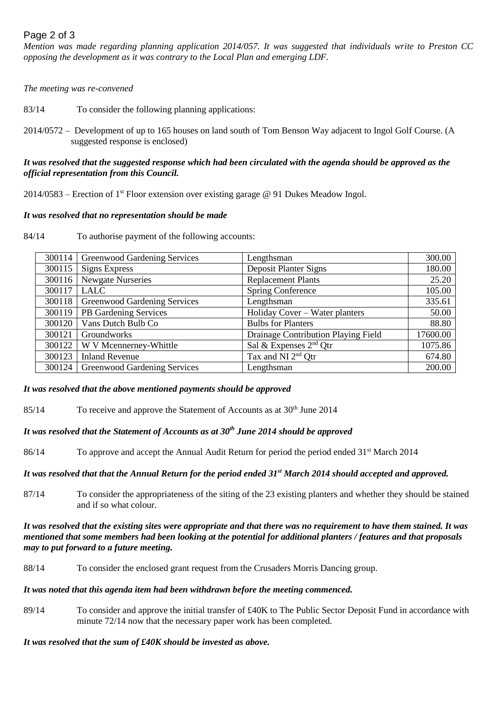# Page 2 of 3

*Mention was made regarding planning application 2014/057. It was suggested that individuals write to Preston CC opposing the development as it was contrary to the Local Plan and emerging LDF.*

*The meeting was re-convened*

83/14 To consider the following planning applications:

2014/0572 – Development of up to 165 houses on land south of Tom Benson Way adjacent to Ingol Golf Course. (A suggested response is enclosed)

## *It was resolved that the suggested response which had been circulated with the agenda should be approved as the official representation from this Council.*

2014/0583 – Erection of 1<sup>st</sup> Floor extension over existing garage @ 91 Dukes Meadow Ingol.

## *It was resolved that no representation should be made*

84/14 To authorise payment of the following accounts:

| 300114 | <b>Greenwood Gardening Services</b> | Lengthsman                          | 300.00   |
|--------|-------------------------------------|-------------------------------------|----------|
| 300115 | <b>Signs Express</b>                | Deposit Planter Signs               | 180.00   |
| 300116 | Newgate Nurseries                   | <b>Replacement Plants</b>           | 25.20    |
| 300117 | <b>LALC</b>                         | Spring Conference                   | 105.00   |
| 300118 | <b>Greenwood Gardening Services</b> | Lengthsman                          | 335.61   |
| 300119 | PB Gardening Services               | Holiday Cover – Water planters      | 50.00    |
| 300120 | Vans Dutch Bulb Co                  | <b>Bulbs</b> for Planters           | 88.80    |
| 300121 | Groundworks                         | Drainage Contribution Playing Field | 17600.00 |
| 300122 | W V Mcennerney-Whittle              | Sal & Expenses $2nd$ Qtr            | 1075.86  |
| 300123 | <b>Inland Revenue</b>               | Tax and NI 2 <sup>nd</sup> Otr      | 674.80   |
| 300124 | <b>Greenwood Gardening Services</b> | Lengthsman                          | 200.00   |

#### *It was resolved that the above mentioned payments should be approved*

85/14 To receive and approve the Statement of Accounts as at  $30<sup>th</sup>$  June 2014

# *It was resolved that the Statement of Accounts as at 30th June 2014 should be approved*

86/14 To approve and accept the Annual Audit Return for period the period ended 31<sup>st</sup> March 2014

# *It was resolved that that the Annual Return for the period ended 31st March 2014 should accepted and approved.*

87/14 To consider the appropriateness of the siting of the 23 existing planters and whether they should be stained and if so what colour.

*It was resolved that the existing sites were appropriate and that there was no requirement to have them stained. It was mentioned that some members had been looking at the potential for additional planters / features and that proposals may to put forward to a future meeting.*

88/14 To consider the enclosed grant request from the Crusaders Morris Dancing group.

#### *It was noted that this agenda item had been withdrawn before the meeting commenced.*

89/14 To consider and approve the initial transfer of £40K to The Public Sector Deposit Fund in accordance with minute 72/14 now that the necessary paper work has been completed.

#### *It was resolved that the sum of £40K should be invested as above.*